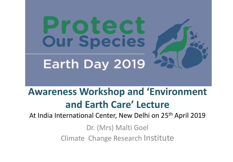

## **Awareness Workshop and 'Environment and Earth Care' Lecture**

At India International Center, New Delhi on 25th April 2019

Dr. (Mrs) Malti Goel Climate Change Research Institute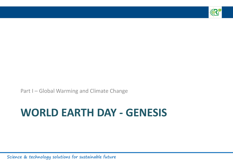

Part I – Global Warming and Climate Change

## **WORLD EARTH DAY - GENESIS**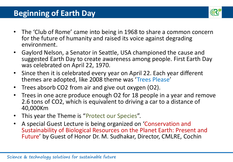

- The 'Club of Rome' came into being in 1968 to share a common concern for the future of humanity and raised its voice against degrading environment.
- Gaylord Nelson, a Senator in Seattle, USA championed the cause and suggested Earth Day to create awareness among people. First Earth Day was celebrated on April 22, 1970.
- Since then it is celebrated every year on April 22. Each year different themes are adopted, like 2008 theme was 'Trees Please'
- Trees absorb CO2 from air and give out oxygen (O2).
- Trees in one acre produce enough O2 for 18 people in a year and remove 2.6 tons of CO2, which is equivalent to driving a car to a distance of 40,000Km
- This year the Theme is "Protect our Species".
- A special Guest Lecture is being organized on 'Conservation and Sustainability of Biological Resources on the Planet Earth: Present and Future' by Guest of Honor Dr. M. Sudhakar, Director, CMLRE, Cochin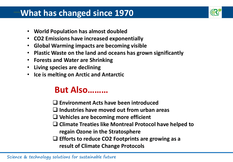#### **–What has changed since 1970**



- **World Population has almost doubled**
- **CO2 Emissions have increased exponentially**
- **Global Warming impacts are becoming visible**
- **Plastic Waste on the land and oceans has grown significantly**
- **Forests and Water are Shrinking**
- **Living species are declining**
- **Ice is melting on Arctic and Antarctic**

## **But Also………**

**Environment Acts have been introduced**

**Industries have moved out from urban areas**

- **Vehicles are becoming more efficient**
- **Climate Treaties like Montreal Protocol have helped to regain Ozone in the Stratosphere**
- **Efforts to reduce CO2 Footprints are growing as a result of Climate Change Protocols**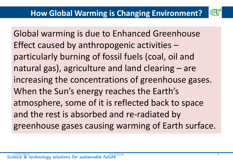

Global warming is due to Enhanced Greenhouse Effect caused by anthropogenic activities – particularly burning of fossil fuels (coal, oil and natural gas), agriculture and land clearing – are increasing the concentrations of greenhouse gases. When the Sun's energy reaches the Earth's atmosphere, some of it is reflected back to space and the rest is absorbed and re-radiated by greenhouse gases causing warming of Earth surface.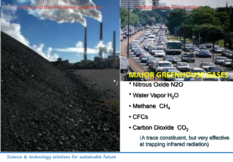**Coal based thermal power generation <b>Pollution from Automobiles** 



- 2 \* Nitrous Oxide N2O
- \* Water Vapor  $H<sub>2</sub>O$
- $\cdot$  Methane CH<sub>4</sub>
- CFCs

**P2** 

• Carbon Dioxide  $CO<sub>2</sub>$ 

(A trace constituent, but very effective at trapping infrared radiation)

Science & technology solutions for sustainable future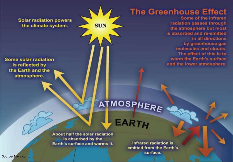**Solar radiation powers** the climate system.

Some solar radiation is reflected by the Earth and the atmosphere.

**The Greenhouse Effect** 

Some of the infrared radiation passes through the atmosphere but most is absorbed and re-emitted in all directions by greenhouse gas molecules and clouds. The effect of this is to warm the Earth's surface and the lower atmosphere.

# ATMOSPHERE

**EAR** 

About half the solar radiation is absorbed by the Earth's surface and warms it.

**SUN** 

**Infrared radiation is** emitted from the Earth's surface.

Source- Niwa.co.nz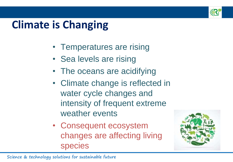

## **Climate is Changing**

- Temperatures are rising
- Sea levels are rising
- The oceans are acidifying
- Climate change is reflected in water cycle changes and intensity of frequent extreme weather events
- Consequent ecosystem changes are affecting living species

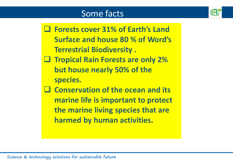### Some facts



 **Forests cover 31% of Earth's Land Surface and house 80 % of Word's Terrestrial Biodiversity .** 

- **Tropical Rain Forests are only 2% but house nearly 50% of the species.**
- **Conservation of the ocean and its marine life is important to protect the marine living species that are harmed by human activities.**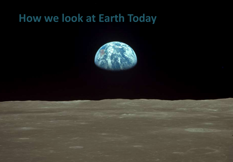## **How we look at Earth Today**

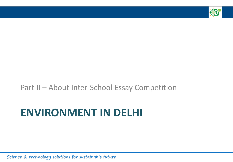

#### Part II – About Inter-School Essay Competition

## **ENVIRONMENT IN DELHI**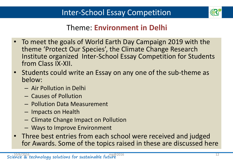

#### Theme: **Environment in Delhi**

- To meet the goals of World Earth Day Campaign 2019 with the theme 'Protect Our Species', the Climate Change Research Institute organized Inter-School Essay Competition for Students from Class IX-XII.
- Students could write an Essay on any one of the sub-theme as below:
	- Air Pollution in Delhi
	- Causes of Pollution
	- Pollution Data Measurement
	- Impacts on Health
	- Climate Change Impact on Pollution
	- Ways to Improve Environment
- Three best entries from each school were received and judged for Awards. Some of the topics raised in these are discussed here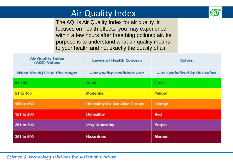### Air Quality Index



The AQI is Air Quality Index for air quality. It focuses on health effects, you may experience within a few hours after breathing polluted air. Its purpose is to understand what air quality means to your health and not exactly the quality of air.

| <b>Air Quality Index</b><br>(AQI) Values | <b>Levels of Health Concern</b>       | <b>Colors</b>                |
|------------------------------------------|---------------------------------------|------------------------------|
| When the AQI is in this range:           | air quality conditions are:           | as symbolized by this color: |
| $0$ to $50$                              | Good                                  | Green                        |
| 51 to 100                                | Moderate                              | Yellow                       |
|                                          |                                       |                              |
| 101 to 150                               | <b>Unhealthy for Sensitive Groups</b> | Orange                       |
| 151 to 200                               | <b>Unhealthy</b>                      | <b>Red</b>                   |
| 201 to 300                               | <b>Very Unhealthy</b>                 | <b>Purple</b>                |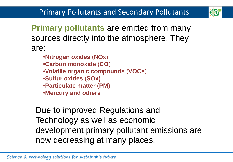

**Primary pollutants** are emitted from many sources directly into the atmosphere. They are:

- •**Nitrogen oxides** (**NOx**)
- •**Carbon monoxide** (**CO**)
- •**Volatile organic compounds** (**VOCs**)
- •**Sulfur oxides** (**SOx)**
- •**Particulate matter (PM**)
- •**Mercury and others**

Due to improved Regulations and Technology as well as economic development primary pollutant emissions are now decreasing at many places.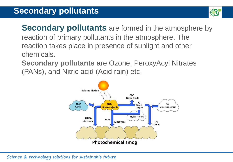

**Secondary pollutants** are formed in the atmosphere by reaction of primary pollutants in the atmosphere. The reaction takes place in presence of sunlight and other chemicals.

**Secondary pollutants** are Ozone, PeroxyAcyl Nitrates (PANs), and Nitric acid (Acid rain) etc.

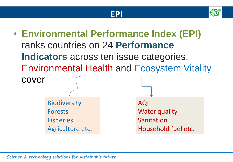



• **Environmental Performance Index (EPI)**  ranks countries on 24 **Performance Indicators** across ten issue categories. Environmental Health and Ecosystem Vitality cover AQI Water quality Sanitation Household fuel etc. **Biodiversity** Forests **Fisheries** Agriculture etc.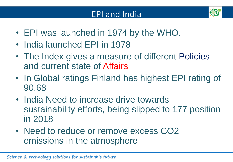

- EPI was launched in 1974 by the WHO.
- India launched EPI in 1978
- The Index gives a measure of different Policies and current state of Affairs
- In Global ratings Finland has highest EPI rating of 90.68
- India Need to increase drive towards sustainability efforts, being slipped to 177 position in 2018
- Need to reduce or remove excess CO2 emissions in the atmosphere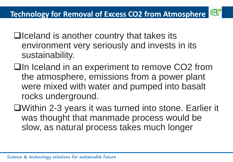

- $\Box$  Iceland is another country that takes its environment very seriously and invests in its sustainability.
- **□In Iceland in an experiment to remove CO2 from** the atmosphere, emissions from a power plant were mixed with water and pumped into basalt rocks underground.
- Within 2-3 years it was turned into stone. Earlier it was thought that manmade process would be slow, as natural process takes much longer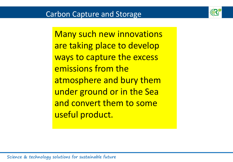

Many such new innovations are taking place to develop ways to capture the excess emissions from the atmosphere and bury them under ground or in the Sea and convert them to some useful product.